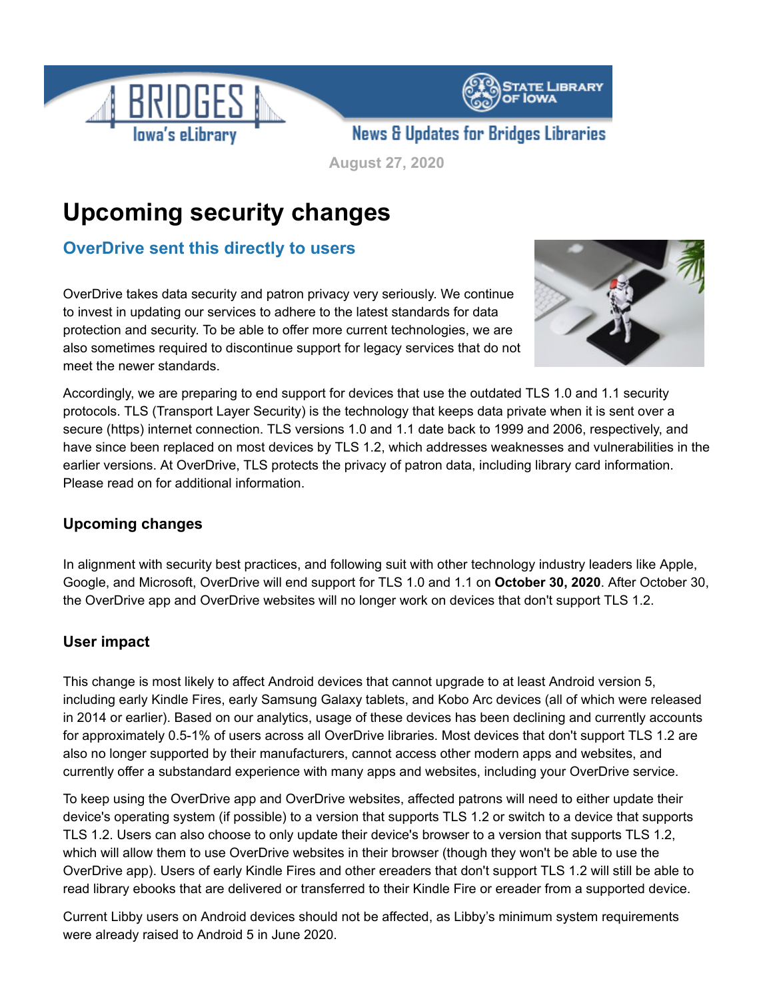



**News & Updates for Bridges Libraries** 

**August 27, 2020**

# **Upcoming security changes**

## **OverDrive sent this directly to users**

OverDrive takes data security and patron privacy very seriously. We continue to invest in updating our services to adhere to the latest standards for data protection and security. To be able to offer more current technologies, we are also sometimes required to discontinue support for legacy services that do not meet the newer standards.



Accordingly, we are preparing to end support for devices that use the outdated TLS 1.0 and 1.1 security protocols. TLS (Transport Layer Security) is the technology that keeps data private when it is sent over a secure (https) internet connection. TLS versions 1.0 and 1.1 date back to 1999 and 2006, respectively, and have since been replaced on most devices by TLS 1.2, which addresses weaknesses and vulnerabilities in the earlier versions. At OverDrive, TLS protects the privacy of patron data, including library card information. Please read on for additional information.

## **Upcoming changes**

In alignment with security best practices, and following suit with other technology industry leaders like Apple, Google, and Microsoft, OverDrive will end support for TLS 1.0 and 1.1 on **October 30, 2020**. After October 30, the OverDrive app and OverDrive websites will no longer work on devices that don't support TLS 1.2.

## **User impact**

This change is most likely to affect Android devices that cannot upgrade to at least Android version 5, including early Kindle Fires, early Samsung Galaxy tablets, and Kobo Arc devices (all of which were released in 2014 or earlier). Based on our analytics, usage of these devices has been declining and currently accounts for approximately 0.5-1% of users across all OverDrive libraries. Most devices that don't support TLS 1.2 are also no longer supported by their manufacturers, cannot access other modern apps and websites, and currently offer a substandard experience with many apps and websites, including your OverDrive service.

To keep using the OverDrive app and OverDrive websites, affected patrons will need to either update their device's operating system (if possible) to a version that supports TLS 1.2 or switch to a device that supports TLS 1.2. Users can also choose to only update their device's browser to a version that supports TLS 1.2, which will allow them to use OverDrive websites in their browser (though they won't be able to use the OverDrive app). Users of early Kindle Fires and other ereaders that don't support TLS 1.2 will still be able to read library ebooks that are delivered or transferred to their Kindle Fire or ereader from a supported device.

Current Libby users on Android devices should not be affected, as Libby's minimum system requirements were already raised to Android 5 in June 2020.